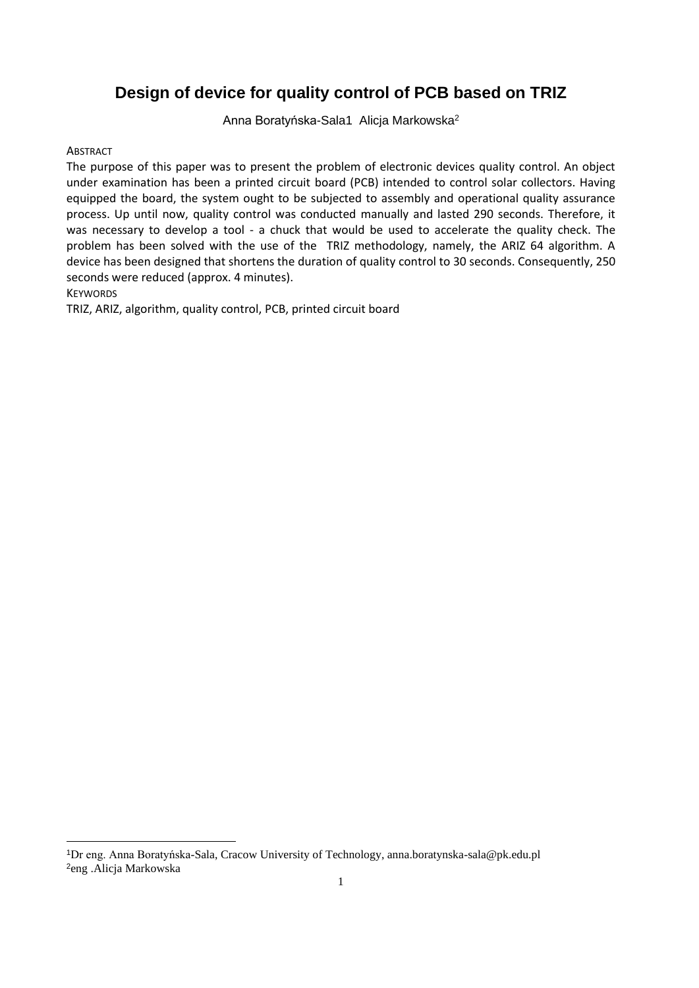# **Design of device for quality control of PCB based on TRIZ**

Anna Boratyńska-Sala1 Alicja Markowska<sup>2</sup>

#### **ABSTRACT**

The purpose of this paper was to present the problem of electronic devices quality control. An object under examination has been a printed circuit board (PCB) intended to control solar collectors. Having equipped the board, the system ought to be subjected to assembly and operational quality assurance process. Up until now, quality control was conducted manually and lasted 290 seconds. Therefore, it was necessary to develop a tool - a chuck that would be used to accelerate the quality check. The problem has been solved with the use of the TRIZ methodology, namely, the ARIZ 64 algorithm. A device has been designed that shortens the duration of quality control to 30 seconds. Consequently, 250 seconds were reduced (approx. 4 minutes).

KEYWORDS

TRIZ, ARIZ, algorithm, quality control, PCB, printed circuit board

<sup>1</sup>Dr eng. Anna Boratyńska-Sala, Cracow University of Technology, anna.boratynska-sala@pk.edu.pl 2eng .Alicja Markowska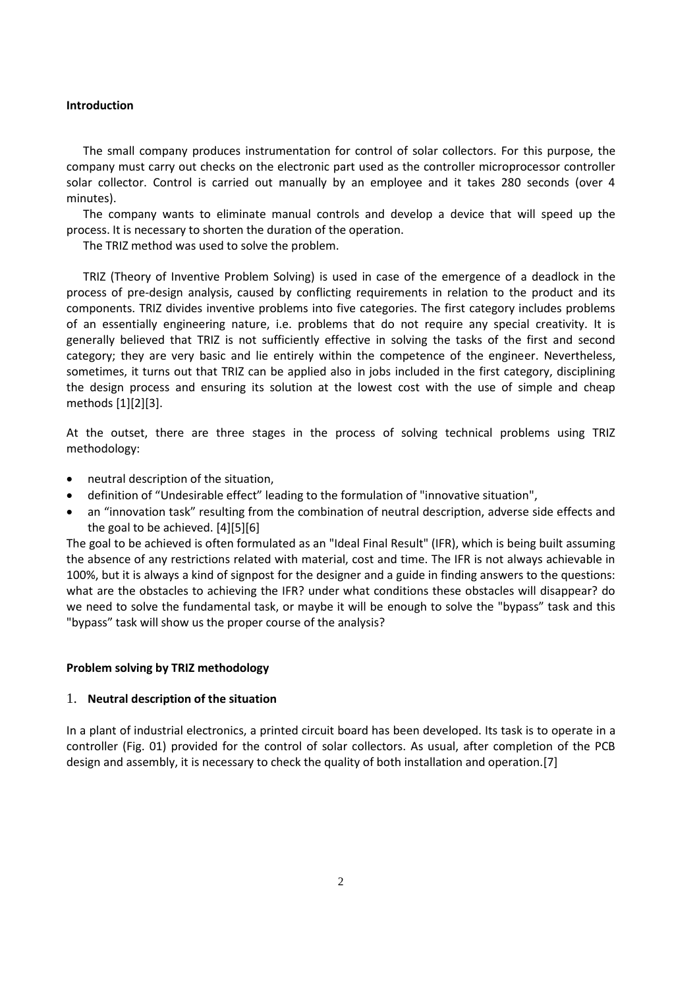#### **Introduction**

The small company produces instrumentation for control of solar collectors. For this purpose, the company must carry out checks on the electronic part used as the controller microprocessor controller solar collector. Control is carried out manually by an employee and it takes 280 seconds (over 4 minutes).

The company wants to eliminate manual controls and develop a device that will speed up the process. It is necessary to shorten the duration of the operation.

The TRIZ method was used to solve the problem.

TRIZ (Theory of Inventive Problem Solving) is used in case of the emergence of a deadlock in the process of pre-design analysis, caused by conflicting requirements in relation to the product and its components. TRIZ divides inventive problems into five categories. The first category includes problems of an essentially engineering nature, i.e. problems that do not require any special creativity. It is generally believed that TRIZ is not sufficiently effective in solving the tasks of the first and second category; they are very basic and lie entirely within the competence of the engineer. Nevertheless, sometimes, it turns out that TRIZ can be applied also in jobs included in the first category, disciplining the design process and ensuring its solution at the lowest cost with the use of simple and cheap methods [1][2][3].

At the outset, there are three stages in the process of solving technical problems using TRIZ methodology:

- neutral description of the situation,
- definition of "Undesirable effect" leading to the formulation of "innovative situation",
- an "innovation task" resulting from the combination of neutral description, adverse side effects and the goal to be achieved. [4][5][6]

The goal to be achieved is often formulated as an "Ideal Final Result" (IFR), which is being built assuming the absence of any restrictions related with material, cost and time. The IFR is not always achievable in 100%, but it is always a kind of signpost for the designer and a guide in finding answers to the questions: what are the obstacles to achieving the IFR? under what conditions these obstacles will disappear? do we need to solve the fundamental task, or maybe it will be enough to solve the "bypass" task and this "bypass" task will show us the proper course of the analysis?

#### **Problem solving by TRIZ methodology**

#### 1. **Neutral description of the situation**

In a plant of industrial electronics, a printed circuit board has been developed. Its task is to operate in a controller (Fig. 01) provided for the control of solar collectors. As usual, after completion of the PCB design and assembly, it is necessary to check the quality of both installation and operation.[7]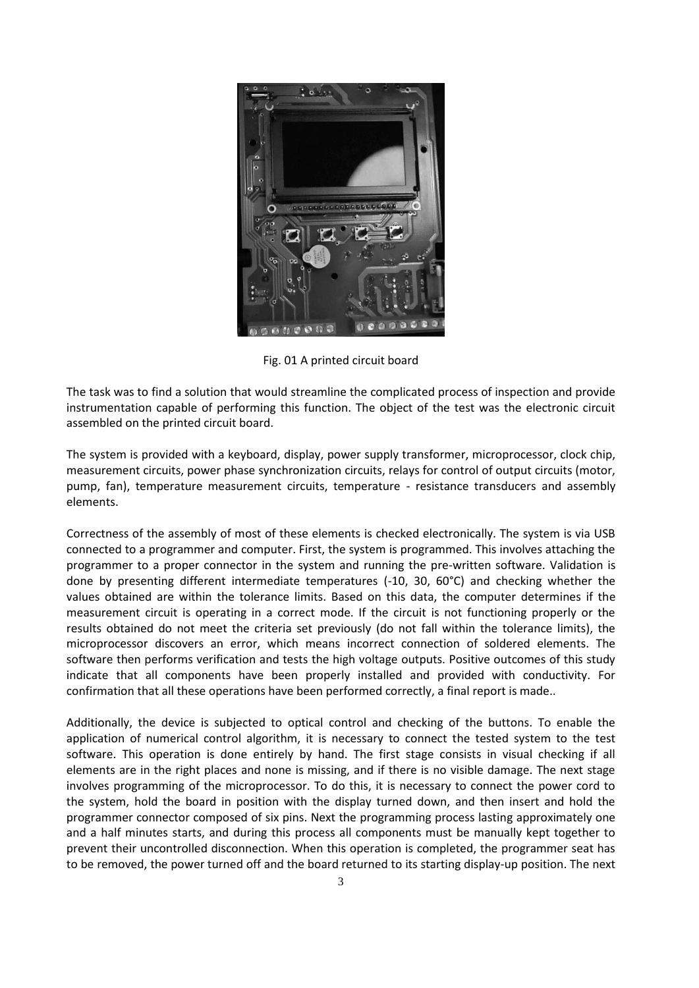

Fig. 01 A printed circuit board

The task was to find a solution that would streamline the complicated process of inspection and provide instrumentation capable of performing this function. The object of the test was the electronic circuit assembled on the printed circuit board.

The system is provided with a keyboard, display, power supply transformer, microprocessor, clock chip, measurement circuits, power phase synchronization circuits, relays for control of output circuits (motor, pump, fan), temperature measurement circuits, temperature - resistance transducers and assembly elements.

Correctness of the assembly of most of these elements is checked electronically. The system is via USB connected to a programmer and computer. First, the system is programmed. This involves attaching the programmer to a proper connector in the system and running the pre-written software. Validation is done by presenting different intermediate temperatures (-10, 30, 60°C) and checking whether the values obtained are within the tolerance limits. Based on this data, the computer determines if the measurement circuit is operating in a correct mode. If the circuit is not functioning properly or the results obtained do not meet the criteria set previously (do not fall within the tolerance limits), the microprocessor discovers an error, which means incorrect connection of soldered elements. The software then performs verification and tests the high voltage outputs. Positive outcomes of this study indicate that all components have been properly installed and provided with conductivity. For confirmation that all these operations have been performed correctly, a final report is made..

Additionally, the device is subjected to optical control and checking of the buttons. To enable the application of numerical control algorithm, it is necessary to connect the tested system to the test software. This operation is done entirely by hand. The first stage consists in visual checking if all elements are in the right places and none is missing, and if there is no visible damage. The next stage involves programming of the microprocessor. To do this, it is necessary to connect the power cord to the system, hold the board in position with the display turned down, and then insert and hold the programmer connector composed of six pins. Next the programming process lasting approximately one and a half minutes starts, and during this process all components must be manually kept together to prevent their uncontrolled disconnection. When this operation is completed, the programmer seat has to be removed, the power turned off and the board returned to its starting display-up position. The next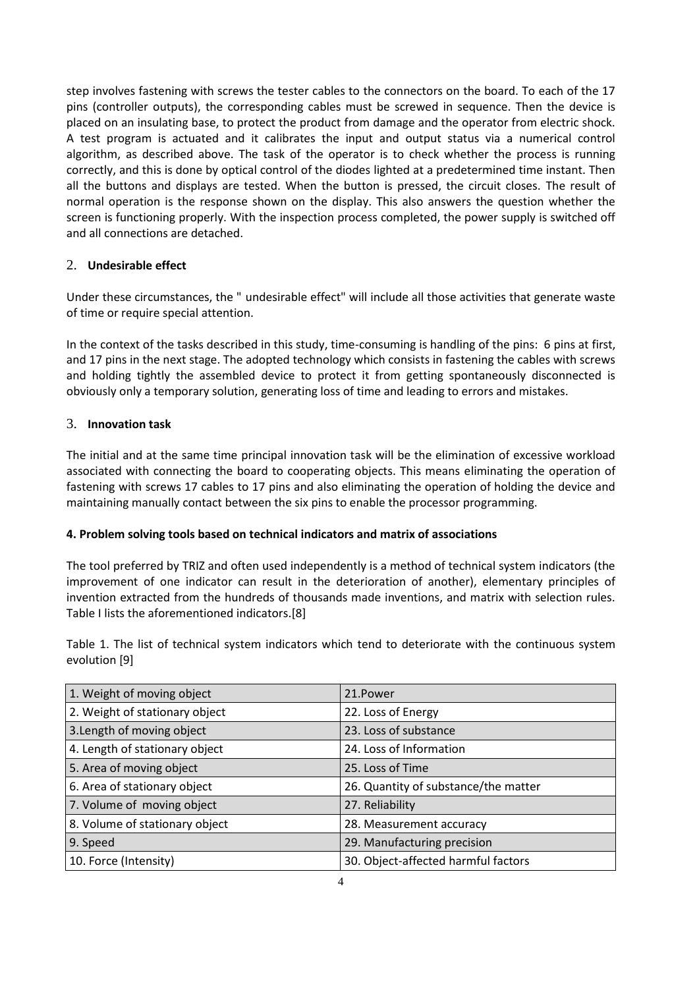step involves fastening with screws the tester cables to the connectors on the board. To each of the 17 pins (controller outputs), the corresponding cables must be screwed in sequence. Then the device is placed on an insulating base, to protect the product from damage and the operator from electric shock. A test program is actuated and it calibrates the input and output status via a numerical control algorithm, as described above. The task of the operator is to check whether the process is running correctly, and this is done by optical control of the diodes lighted at a predetermined time instant. Then all the buttons and displays are tested. When the button is pressed, the circuit closes. The result of normal operation is the response shown on the display. This also answers the question whether the screen is functioning properly. With the inspection process completed, the power supply is switched off and all connections are detached.

## 2. **Undesirable effect**

Under these circumstances, the " undesirable effect" will include all those activities that generate waste of time or require special attention.

In the context of the tasks described in this study, time-consuming is handling of the pins: 6 pins at first, and 17 pins in the next stage. The adopted technology which consists in fastening the cables with screws and holding tightly the assembled device to protect it from getting spontaneously disconnected is obviously only a temporary solution, generating loss of time and leading to errors and mistakes.

### 3. **Innovation task**

The initial and at the same time principal innovation task will be the elimination of excessive workload associated with connecting the board to cooperating objects. This means eliminating the operation of fastening with screws 17 cables to 17 pins and also eliminating the operation of holding the device and maintaining manually contact between the six pins to enable the processor programming.

#### **4. Problem solving tools based on technical indicators and matrix of associations**

The tool preferred by TRIZ and often used independently is a method of technical system indicators (the improvement of one indicator can result in the deterioration of another), elementary principles of invention extracted from the hundreds of thousands made inventions, and matrix with selection rules. Table I lists the aforementioned indicators.[8]

Table 1. The list of technical system indicators which tend to deteriorate with the continuous system evolution [9]

| 1. Weight of moving object     | 21.Power                             |
|--------------------------------|--------------------------------------|
| 2. Weight of stationary object | 22. Loss of Energy                   |
| 3. Length of moving object     | 23. Loss of substance                |
| 4. Length of stationary object | 24. Loss of Information              |
| 5. Area of moving object       | 25. Loss of Time                     |
| 6. Area of stationary object   | 26. Quantity of substance/the matter |
| 7. Volume of moving object     | 27. Reliability                      |
| 8. Volume of stationary object | 28. Measurement accuracy             |
| 9. Speed                       | 29. Manufacturing precision          |
| 10. Force (Intensity)          | 30. Object-affected harmful factors  |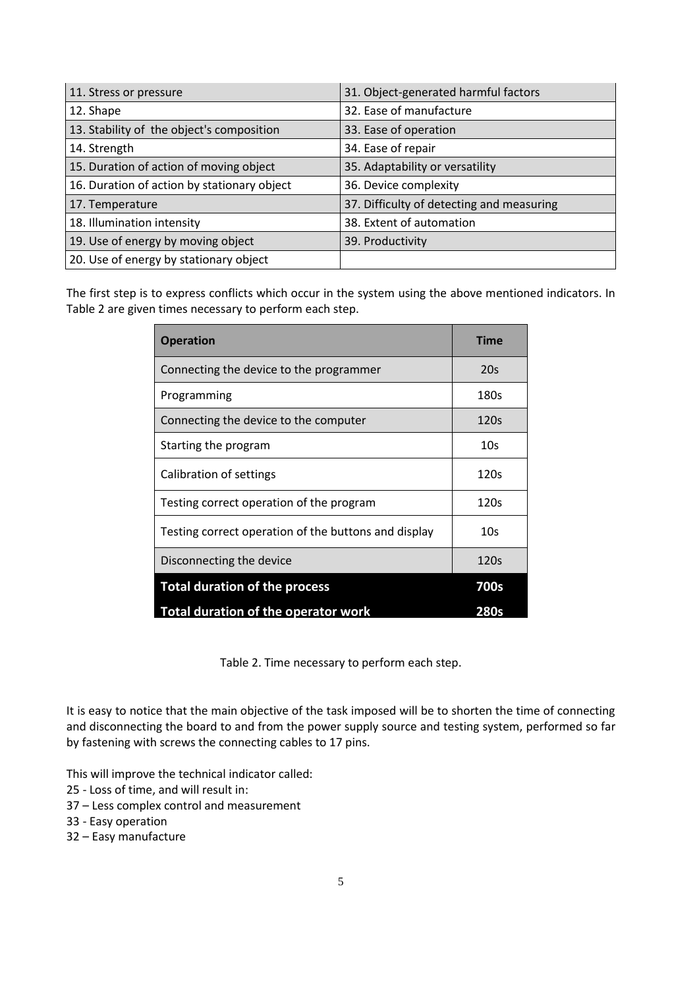| 11. Stress or pressure                      | 31. Object-generated harmful factors      |
|---------------------------------------------|-------------------------------------------|
| 12. Shape                                   | 32. Ease of manufacture                   |
| 13. Stability of the object's composition   | 33. Ease of operation                     |
| 14. Strength                                | 34. Ease of repair                        |
| 15. Duration of action of moving object     | 35. Adaptability or versatility           |
| 16. Duration of action by stationary object | 36. Device complexity                     |
| 17. Temperature                             | 37. Difficulty of detecting and measuring |
| 18. Illumination intensity                  | 38. Extent of automation                  |
| 19. Use of energy by moving object          | 39. Productivity                          |
| 20. Use of energy by stationary object      |                                           |

The first step is to express conflicts which occur in the system using the above mentioned indicators. In Table 2 are given times necessary to perform each step.

| <b>Operation</b>                                     | <b>Time</b>     |
|------------------------------------------------------|-----------------|
| Connecting the device to the programmer              | 20s             |
| Programming                                          | 180s            |
| Connecting the device to the computer                | 120s            |
| Starting the program                                 | 10 <sub>S</sub> |
| Calibration of settings                              | 120s            |
| Testing correct operation of the program             | 120s            |
| Testing correct operation of the buttons and display | 10s             |
| Disconnecting the device                             | 120s            |
| <b>Total duration of the process</b>                 | <b>700s</b>     |
| <b>Total duration of the operator work</b>           | 280s            |

Table 2. Time necessary to perform each step.

It is easy to notice that the main objective of the task imposed will be to shorten the time of connecting and disconnecting the board to and from the power supply source and testing system, performed so far by fastening with screws the connecting cables to 17 pins.

This will improve the technical indicator called:

- 25 Loss of time, and will result in:
- 37 Less complex control and measurement
- 33 Easy operation
- 32 Easy manufacture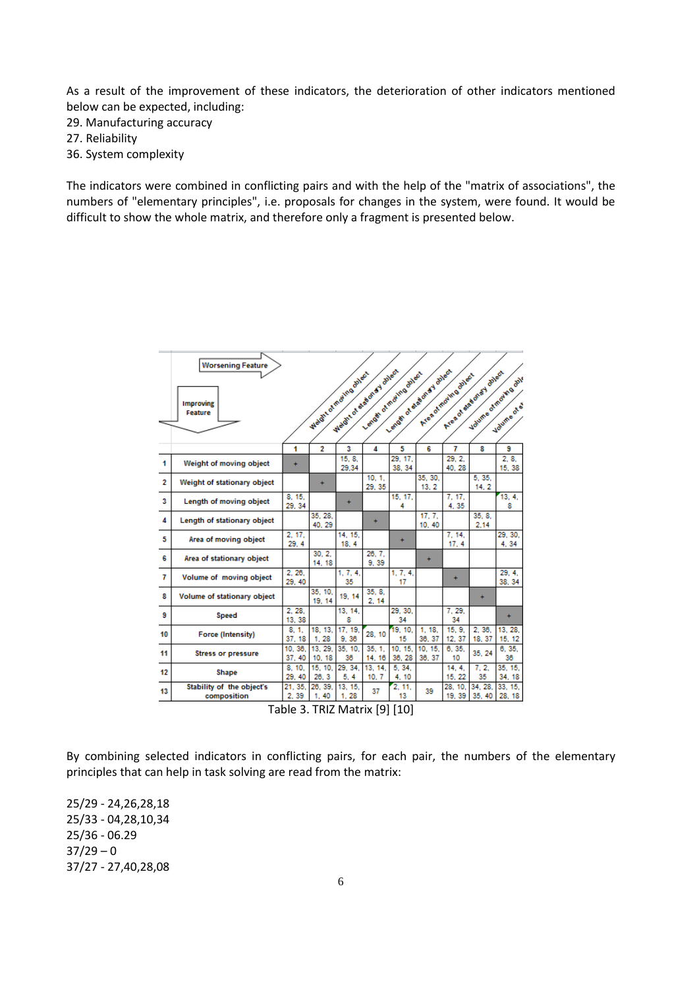As a result of the improvement of these indicators, the deterioration of other indicators mentioned below can be expected, including:

29. Manufacturing accuracy

27. Reliability

36. System complexity

The indicators were combined in conflicting pairs and with the help of the "matrix of associations", the numbers of "elementary principles", i.e. proposals for changes in the system, were found. It would be difficult to show the whole matrix, and therefore only a fragment is presented below.

|    | <b>Worsening Feature</b>                 |                  |                    |                 |                                                      |                           |                    |                       |                       |                     |
|----|------------------------------------------|------------------|--------------------|-----------------|------------------------------------------------------|---------------------------|--------------------|-----------------------|-----------------------|---------------------|
|    | <b>Improving</b><br>Feature              |                  | Webstrand Medicans |                 | Weight of end on a y avien<br>Length of meding sheet | Lends of end on a y allow |                    | Area of moving onless | Area of each oney and | Valume of marks ash |
|    |                                          |                  |                    |                 |                                                      |                           |                    |                       |                       | Volume of 5         |
|    |                                          | 1                | $\overline{2}$     | 3               | 4                                                    | 5                         | 6                  | 7                     | 8                     | 9                   |
| 1  | Weight of moving object                  | ÷                |                    | 15.8.<br>29,34  |                                                      | 29, 17,<br>38, 34         |                    | 29.2.<br>40.28        |                       | 2.8.<br>15, 38      |
| 2  | Weight of stationary object              |                  | $\ddot{}$          |                 | 10.1.<br>29, 35                                      |                           | 35.30.<br>13.2     |                       | 5.35.<br>14.2         |                     |
| 3  | Length of moving object                  | 8. 15.<br>29, 34 |                    | ÷               |                                                      | 15, 17,<br>4              |                    | 7, 17,<br>4,35        |                       | 13, 4,<br>8         |
| 4  | Length of stationary object              |                  | 35.28.<br>40.29    |                 | ÷                                                    |                           | 17.7.<br>10, 40    |                       | 35.8.<br>2.14         |                     |
| 5  | Area of moving object                    | 2. 17.<br>29.4   |                    | 14, 15,<br>18.4 |                                                      | ÷                         |                    | 7.14.<br>17.4         |                       | 29.30.<br>4.34      |
| 6  | Area of stationary object                |                  | 30.2.<br>14, 18    |                 | 26, 7,<br>9.39                                       |                           | ÷                  |                       |                       |                     |
| 7  | Volume of moving object                  | 2.26.<br>29, 40  |                    | 1, 7, 4.<br>35  |                                                      | 1, 7, 4,<br>17            |                    | ÷                     |                       | 29.4.<br>38.34      |
| 8  | Volume of stationary object              |                  | 35.10.<br>19, 14   | 19.14           | 35.8.<br>2, 14                                       |                           |                    |                       | $\ddot{}$             |                     |
| 9  | <b>Speed</b>                             | 2.28.<br>13, 38  |                    | 13, 14,<br>8    |                                                      | 29.30.<br>34              |                    | 7.29.<br>34           |                       | ÷                   |
| 10 | <b>Force (Intensity)</b>                 | 8.1.<br>37.18    | 18, 13,<br>1.28    | 17.19.<br>9.36  | 28, 10                                               | 19.10.<br>15              | 18.<br>1.<br>36.37 | 15.9.<br>12.37        | 2.36.<br>18, 37       | 13.28.<br>15, 12    |
| 11 | <b>Stress or pressure</b>                | 10.36.<br>37, 40 | 13, 29,<br>10.18   | 35, 10,<br>36   | 35.1.<br>14.16                                       | 10, 15,<br>36.28          | 10, 15,<br>36, 37  | 6.35.<br>10           | 35.24                 | 6.35.<br>38         |
| 12 | Shape                                    | 8, 10,<br>29.40  | 15, 10,<br>26.3    | 29, 34,<br>5.4  | 13, 14,<br>10.7                                      | 5, 34,<br>4, 10           |                    | 14.4.<br>15.22        | 7.2.<br>35            | 35, 15,<br>34.18    |
| 13 | Stability of the object's<br>composition | 21, 35,<br>2,39  | 26, 39,<br>1, 40   | 13, 15,<br>1.28 | 37                                                   | 2.11.<br>13               | 39                 | 28. 10.<br>19.39      | 34.28.<br>35.40       | 33. 15.<br>28, 18   |
|    |                                          |                  |                    |                 |                                                      | $P = P$ $P = P$           |                    |                       |                       |                     |

Table 3. TRIZ Matrix [9] [10]

By combining selected indicators in conflicting pairs, for each pair, the numbers of the elementary principles that can help in task solving are read from the matrix:

25/29 - 24,26,28,18 25/33 - 04,28,10,34 25/36 - 06.29  $37/29 - 0$ 37/27 - 27,40,28,08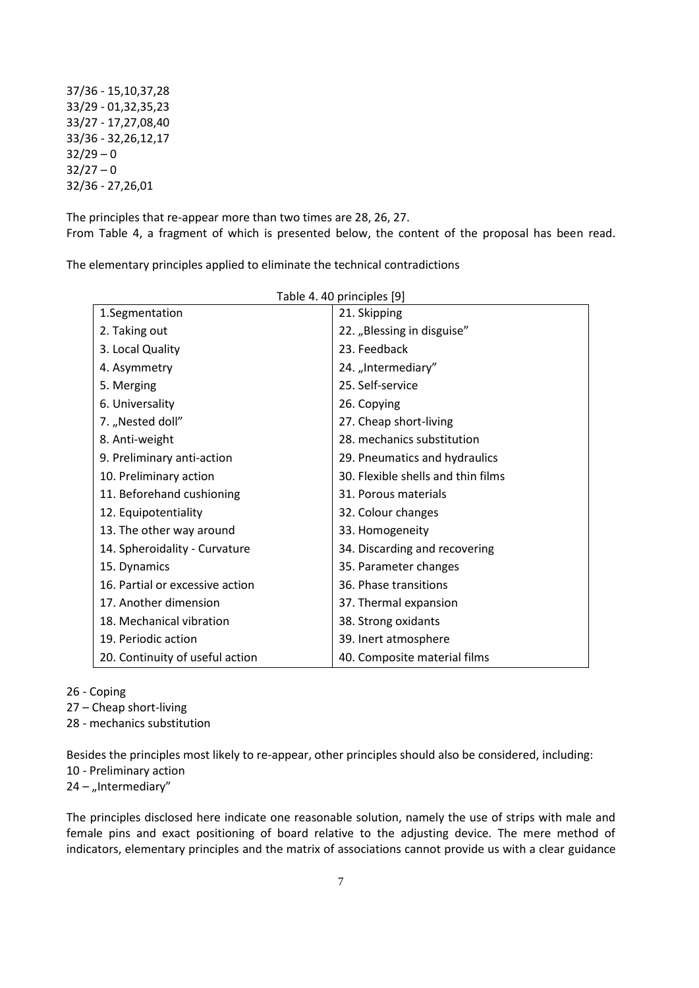37/36 - 15,10,37,28 33/29 - 01,32,35,23 33/27 - 17,27,08,40 33/36 - 32,26,12,17  $32/29 - 0$  $32/27 - 0$ 32/36 - 27,26,01

The principles that re-appear more than two times are 28, 26, 27. From Table 4, a fragment of which is presented below, the content of the proposal has been read.

The elementary principles applied to eliminate the technical contradictions

| Table 4.40 principles [9]       |                                    |  |  |  |  |
|---------------------------------|------------------------------------|--|--|--|--|
| 1.Segmentation                  | 21. Skipping                       |  |  |  |  |
| 2. Taking out                   | 22. "Blessing in disguise"         |  |  |  |  |
| 3. Local Quality                | 23. Feedback                       |  |  |  |  |
| 4. Asymmetry                    | 24. "Intermediary"                 |  |  |  |  |
| 5. Merging                      | 25. Self-service                   |  |  |  |  |
| 6. Universality                 | 26. Copying                        |  |  |  |  |
| 7. "Nested doll"                | 27. Cheap short-living             |  |  |  |  |
| 8. Anti-weight                  | 28. mechanics substitution         |  |  |  |  |
| 9. Preliminary anti-action      | 29. Pneumatics and hydraulics      |  |  |  |  |
| 10. Preliminary action          | 30. Flexible shells and thin films |  |  |  |  |
| 11. Beforehand cushioning       | 31. Porous materials               |  |  |  |  |
| 12. Equipotentiality            | 32. Colour changes                 |  |  |  |  |
| 13. The other way around        | 33. Homogeneity                    |  |  |  |  |
| 14. Spheroidality - Curvature   | 34. Discarding and recovering      |  |  |  |  |
| 15. Dynamics                    | 35. Parameter changes              |  |  |  |  |
| 16. Partial or excessive action | 36. Phase transitions              |  |  |  |  |
| 17. Another dimension           | 37. Thermal expansion              |  |  |  |  |
| 18. Mechanical vibration        | 38. Strong oxidants                |  |  |  |  |
| 19. Periodic action             | 39. Inert atmosphere               |  |  |  |  |
| 20. Continuity of useful action | 40. Composite material films       |  |  |  |  |

#### 26 - Coping

27 – Cheap short-living

28 - mechanics substitution

Besides the principles most likely to re-appear, other principles should also be considered, including:

10 - Preliminary action

 $24 -$  "Intermediary"

The principles disclosed here indicate one reasonable solution, namely the use of strips with male and female pins and exact positioning of board relative to the adjusting device. The mere method of indicators, elementary principles and the matrix of associations cannot provide us with a clear guidance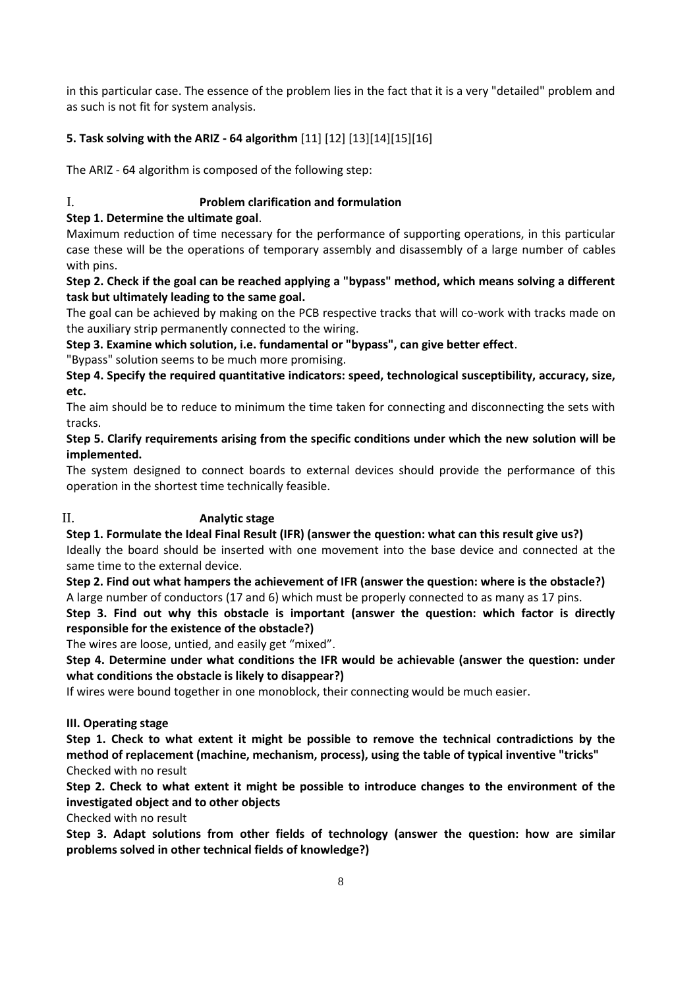in this particular case. The essence of the problem lies in the fact that it is a very "detailed" problem and as such is not fit for system analysis.

## **5. Task solving with the ARIZ - 64 algorithm** [11] [12] [13][14][15][16]

The ARIZ - 64 algorithm is composed of the following step:

## I. **Problem clarification and formulation**

## **Step 1. Determine the ultimate goal**.

Maximum reduction of time necessary for the performance of supporting operations, in this particular case these will be the operations of temporary assembly and disassembly of a large number of cables with pins.

**Step 2. Check if the goal can be reached applying a "bypass" method, which means solving a different task but ultimately leading to the same goal.**

The goal can be achieved by making on the PCB respective tracks that will co-work with tracks made on the auxiliary strip permanently connected to the wiring.

**Step 3. Examine which solution, i.e. fundamental or "bypass", can give better effect**.

"Bypass" solution seems to be much more promising.

**Step 4. Specify the required quantitative indicators: speed, technological susceptibility, accuracy, size, etc.**

The aim should be to reduce to minimum the time taken for connecting and disconnecting the sets with tracks.

**Step 5. Clarify requirements arising from the specific conditions under which the new solution will be implemented.**

The system designed to connect boards to external devices should provide the performance of this operation in the shortest time technically feasible.

## II. **Analytic stage**

**Step 1. Formulate the Ideal Final Result (IFR) (answer the question: what can this result give us?)**

Ideally the board should be inserted with one movement into the base device and connected at the same time to the external device.

**Step 2. Find out what hampers the achievement of IFR (answer the question: where is the obstacle?)** A large number of conductors (17 and 6) which must be properly connected to as many as 17 pins.

**Step 3. Find out why this obstacle is important (answer the question: which factor is directly responsible for the existence of the obstacle?)**

The wires are loose, untied, and easily get "mixed".

**Step 4. Determine under what conditions the IFR would be achievable (answer the question: under what conditions the obstacle is likely to disappear?)**

If wires were bound together in one monoblock, their connecting would be much easier.

## **III. Operating stage**

**Step 1. Check to what extent it might be possible to remove the technical contradictions by the method of replacement (machine, mechanism, process), using the table of typical inventive "tricks"** Checked with no result

**Step 2. Check to what extent it might be possible to introduce changes to the environment of the investigated object and to other objects**

Checked with no result

**Step 3. Adapt solutions from other fields of technology (answer the question: how are similar problems solved in other technical fields of knowledge?)**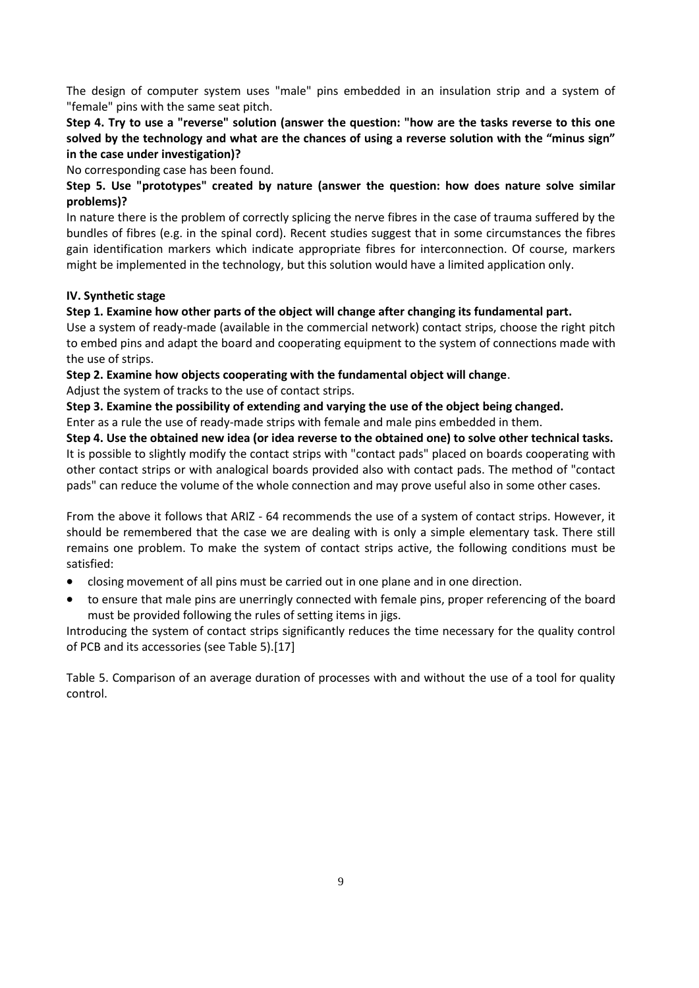The design of computer system uses "male" pins embedded in an insulation strip and a system of "female" pins with the same seat pitch.

## **Step 4. Try to use a "reverse" solution (answer the question: "how are the tasks reverse to this one solved by the technology and what are the chances of using a reverse solution with the "minus sign" in the case under investigation)?**

No corresponding case has been found.

## **Step 5. Use "prototypes" created by nature (answer the question: how does nature solve similar problems)?**

In nature there is the problem of correctly splicing the nerve fibres in the case of trauma suffered by the bundles of fibres (e.g. in the spinal cord). Recent studies suggest that in some circumstances the fibres gain identification markers which indicate appropriate fibres for interconnection. Of course, markers might be implemented in the technology, but this solution would have a limited application only.

### **IV. Synthetic stage**

### **Step 1. Examine how other parts of the object will change after changing its fundamental part.**

Use a system of ready-made (available in the commercial network) contact strips, choose the right pitch to embed pins and adapt the board and cooperating equipment to the system of connections made with the use of strips.

### **Step 2. Examine how objects cooperating with the fundamental object will change**.

Adjust the system of tracks to the use of contact strips.

**Step 3. Examine the possibility of extending and varying the use of the object being changed.**

Enter as a rule the use of ready-made strips with female and male pins embedded in them.

**Step 4. Use the obtained new idea (or idea reverse to the obtained one) to solve other technical tasks.** It is possible to slightly modify the contact strips with "contact pads" placed on boards cooperating with other contact strips or with analogical boards provided also with contact pads. The method of "contact pads" can reduce the volume of the whole connection and may prove useful also in some other cases.

From the above it follows that ARIZ - 64 recommends the use of a system of contact strips. However, it should be remembered that the case we are dealing with is only a simple elementary task. There still remains one problem. To make the system of contact strips active, the following conditions must be satisfied:

- closing movement of all pins must be carried out in one plane and in one direction.
- to ensure that male pins are unerringly connected with female pins, proper referencing of the board must be provided following the rules of setting items in jigs.

Introducing the system of contact strips significantly reduces the time necessary for the quality control of PCB and its accessories (see Table 5).[17]

Table 5. Comparison of an average duration of processes with and without the use of a tool for quality control.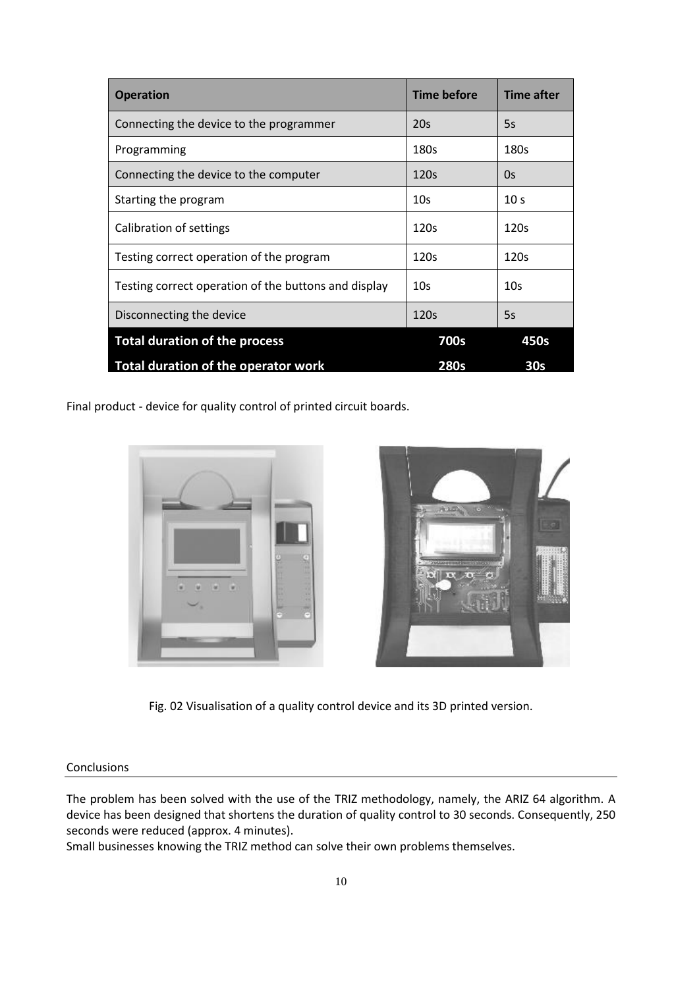| <b>Operation</b>                                     | Time before     | <b>Time after</b> |
|------------------------------------------------------|-----------------|-------------------|
| Connecting the device to the programmer              | 20s             | 5s                |
| Programming                                          | 180s            | 180s              |
| Connecting the device to the computer                | 120s            | 0s                |
| Starting the program                                 | 10 <sub>s</sub> | 10 <sub>s</sub>   |
| Calibration of settings                              | 120s            | 120s              |
| Testing correct operation of the program             | 120s            | 120s              |
| Testing correct operation of the buttons and display | 10s             | 10 <sub>S</sub>   |
| Disconnecting the device                             | 120s            | 5s                |
| <b>Total duration of the process</b>                 | 700s            | 450s              |
| Total duration of the operator work                  | <b>280s</b>     | 30 <sub>s</sub>   |

Final product - device for quality control of printed circuit boards.



Fig. 02 Visualisation of a quality control device and its 3D printed version.

#### Conclusions

The problem has been solved with the use of the TRIZ methodology, namely, the ARIZ 64 algorithm. A device has been designed that shortens the duration of quality control to 30 seconds. Consequently, 250 seconds were reduced (approx. 4 minutes).

Small businesses knowing the TRIZ method can solve their own problems themselves.